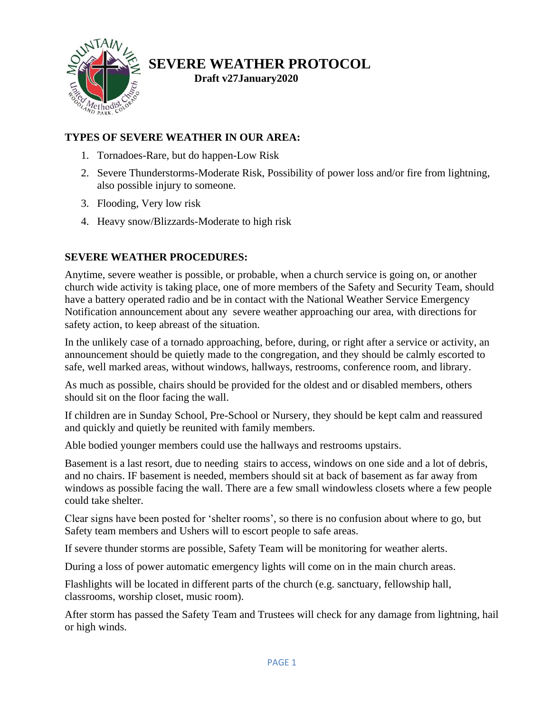

## **SEVERE WEATHER PROTOCOL**

**Draft v27January2020**

## **TYPES OF SEVERE WEATHER IN OUR AREA:**

- 1. Tornadoes-Rare, but do happen-Low Risk
- 2. Severe Thunderstorms-Moderate Risk, Possibility of power loss and/or fire from lightning, also possible injury to someone.
- 3. Flooding, Very low risk
- 4. Heavy snow/Blizzards-Moderate to high risk

## **SEVERE WEATHER PROCEDURES:**

Anytime, severe weather is possible, or probable, when a church service is going on, or another church wide activity is taking place, one of more members of the Safety and Security Team, should have a battery operated radio and be in contact with the National Weather Service Emergency Notification announcement about any severe weather approaching our area, with directions for safety action, to keep abreast of the situation.

In the unlikely case of a tornado approaching, before, during, or right after a service or activity, an announcement should be quietly made to the congregation, and they should be calmly escorted to safe, well marked areas, without windows, hallways, restrooms, conference room, and library.

As much as possible, chairs should be provided for the oldest and or disabled members, others should sit on the floor facing the wall.

If children are in Sunday School, Pre-School or Nursery, they should be kept calm and reassured and quickly and quietly be reunited with family members.

Able bodied younger members could use the hallways and restrooms upstairs.

Basement is a last resort, due to needing stairs to access, windows on one side and a lot of debris, and no chairs. IF basement is needed, members should sit at back of basement as far away from windows as possible facing the wall. There are a few small windowless closets where a few people could take shelter.

Clear signs have been posted for 'shelter rooms', so there is no confusion about where to go, but Safety team members and Ushers will to escort people to safe areas.

If severe thunder storms are possible, Safety Team will be monitoring for weather alerts.

During a loss of power automatic emergency lights will come on in the main church areas.

Flashlights will be located in different parts of the church (e.g. sanctuary, fellowship hall, classrooms, worship closet, music room).

After storm has passed the Safety Team and Trustees will check for any damage from lightning, hail or high winds.